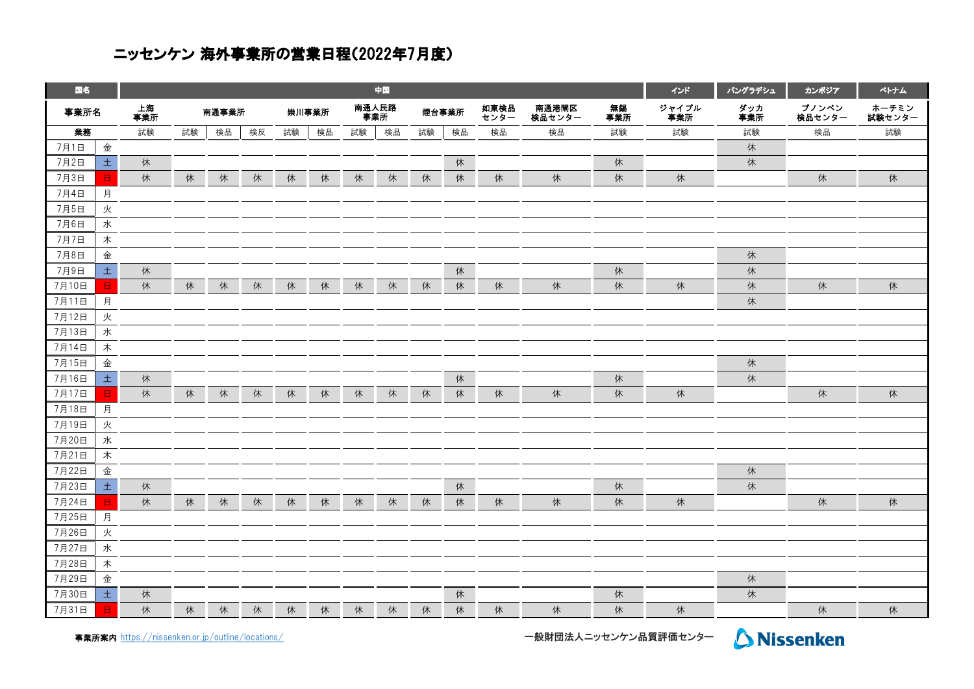## ニッセンケン 海外事業所の営業日程(2022年7月度)

| 国名    |              | 中国        |    |       |    |       |    |              |    |       |    |              |                 | インド       | バングラデシュ      | カンボジア      | ベトナム            |                 |
|-------|--------------|-----------|----|-------|----|-------|----|--------------|----|-------|----|--------------|-----------------|-----------|--------------|------------|-----------------|-----------------|
| 事業所名  |              | 上海<br>事業所 |    | 南通事業所 |    | 崇川事業所 |    | 南通人民路<br>事業所 |    | 煙台事業所 |    | 如東検品<br>センター | 南通港閘区<br>検品センター | 無錫<br>事業所 | ジャイプル<br>事業所 | ダッカ<br>事業所 | プノンペン<br>検品センター | ホーチミン<br>試験センター |
| 業務    |              | 試験        | 試験 | 検品    | 検反 | 試験    | 検品 | 試験           | 検品 | 試験    | 検品 | 検品           | 検品              | 試験        | 試験           | 試験         | 検品              | 試験              |
| 7月1日  | 金            |           |    |       |    |       |    |              |    |       |    |              |                 |           |              | 休          |                 |                 |
| 7月2日  | 土            | 休         |    |       |    |       |    |              |    |       | 休  |              |                 | 休         |              | 休          |                 |                 |
| 7月3日  | B.           | 休         | 休  | 休     | 休  | 休     | 休  | 休            | 休  | 休     | 休  | 休            | 休               | 休         | 休            |            | 休               | 休               |
| 7月4日  | 月            |           |    |       |    |       |    |              |    |       |    |              |                 |           |              |            |                 |                 |
| 7月5日  | 火            |           |    |       |    |       |    |              |    |       |    |              |                 |           |              |            |                 |                 |
| 7月6日  | 水            |           |    |       |    |       |    |              |    |       |    |              |                 |           |              |            |                 |                 |
| 7月7日  | 木            |           |    |       |    |       |    |              |    |       |    |              |                 |           |              |            |                 |                 |
| 7月8日  | 金            |           |    |       |    |       |    |              |    |       |    |              |                 |           |              | 休          |                 |                 |
| 7月9日  | $\pm$        | 休         |    |       |    |       |    |              |    |       | 休  |              |                 | 休         |              | 休          |                 |                 |
| 7月10日 | B.           | 休         | 休  | 休     | 休  | 休     | 休  | 休            | 休  | 休     | 休  | 休            | 休               | 休         | 休            | 休          | 休               | 休               |
| 7月11日 | 月            |           |    |       |    |       |    |              |    |       |    |              |                 |           |              | 休          |                 |                 |
| 7月12日 | 火            |           |    |       |    |       |    |              |    |       |    |              |                 |           |              |            |                 |                 |
| 7月13日 | 水            |           |    |       |    |       |    |              |    |       |    |              |                 |           |              |            |                 |                 |
| 7月14日 | 木            |           |    |       |    |       |    |              |    |       |    |              |                 |           |              |            |                 |                 |
| 7月15日 | 金            |           |    |       |    |       |    |              |    |       |    |              |                 |           |              | 休          |                 |                 |
| 7月16日 | $\pm$        | 休         |    |       |    |       |    |              |    |       | 休  |              |                 | 休         |              | 休          |                 |                 |
| 7月17日 | $\boxminus$  | 休         | 休  | 休     | 休  | 休     | 休  | 休            | 休  | 休     | 休  | 休            | 休               | 休         | 休            |            | 休               | 休               |
| 7月18日 | 月            |           |    |       |    |       |    |              |    |       |    |              |                 |           |              |            |                 |                 |
| 7月19日 | 火            |           |    |       |    |       |    |              |    |       |    |              |                 |           |              |            |                 |                 |
| 7月20日 | 水            |           |    |       |    |       |    |              |    |       |    |              |                 |           |              |            |                 |                 |
| 7月21日 | 木            |           |    |       |    |       |    |              |    |       |    |              |                 |           |              |            |                 |                 |
| 7月22日 | 金            |           |    |       |    |       |    |              |    |       |    |              |                 |           |              | 休          |                 |                 |
| 7月23日 | $\pm$        | 休         |    |       |    |       |    |              |    |       | 休  |              |                 | 休         |              | 休          |                 |                 |
| 7月24日 | $\mathbf{H}$ | 休         | 休  | 休     | 休  | 休     | 休  | 休            | 休  | 休     | 休  | 休            | 休               | 休         | 休            |            | 休               | 休               |
| 7月25日 | 月            |           |    |       |    |       |    |              |    |       |    |              |                 |           |              |            |                 |                 |
| 7月26日 | 火            |           |    |       |    |       |    |              |    |       |    |              |                 |           |              |            |                 |                 |
| 7月27日 | 水            |           |    |       |    |       |    |              |    |       |    |              |                 |           |              |            |                 |                 |
| 7月28日 | 木            |           |    |       |    |       |    |              |    |       |    |              |                 |           |              |            |                 |                 |
| 7月29日 | 金            |           |    |       |    |       |    |              |    |       |    |              |                 |           |              | 休          |                 |                 |
| 7月30日 | 土            | 休         |    |       |    |       |    |              |    |       | 休  |              |                 | 休         |              | 休          |                 |                 |
| 7月31日 | $\boxminus$  | 休         | 休  | 休     | 休  | 休     | 休  | 休            | 休  | 休     | 休  | 休            | 休               | 休         | 休            |            | 休               | 休               |

事業所案内 [https://nissen](https://nissenken.or.jp/outline/locations/)ken.or.jp/outline/locations/